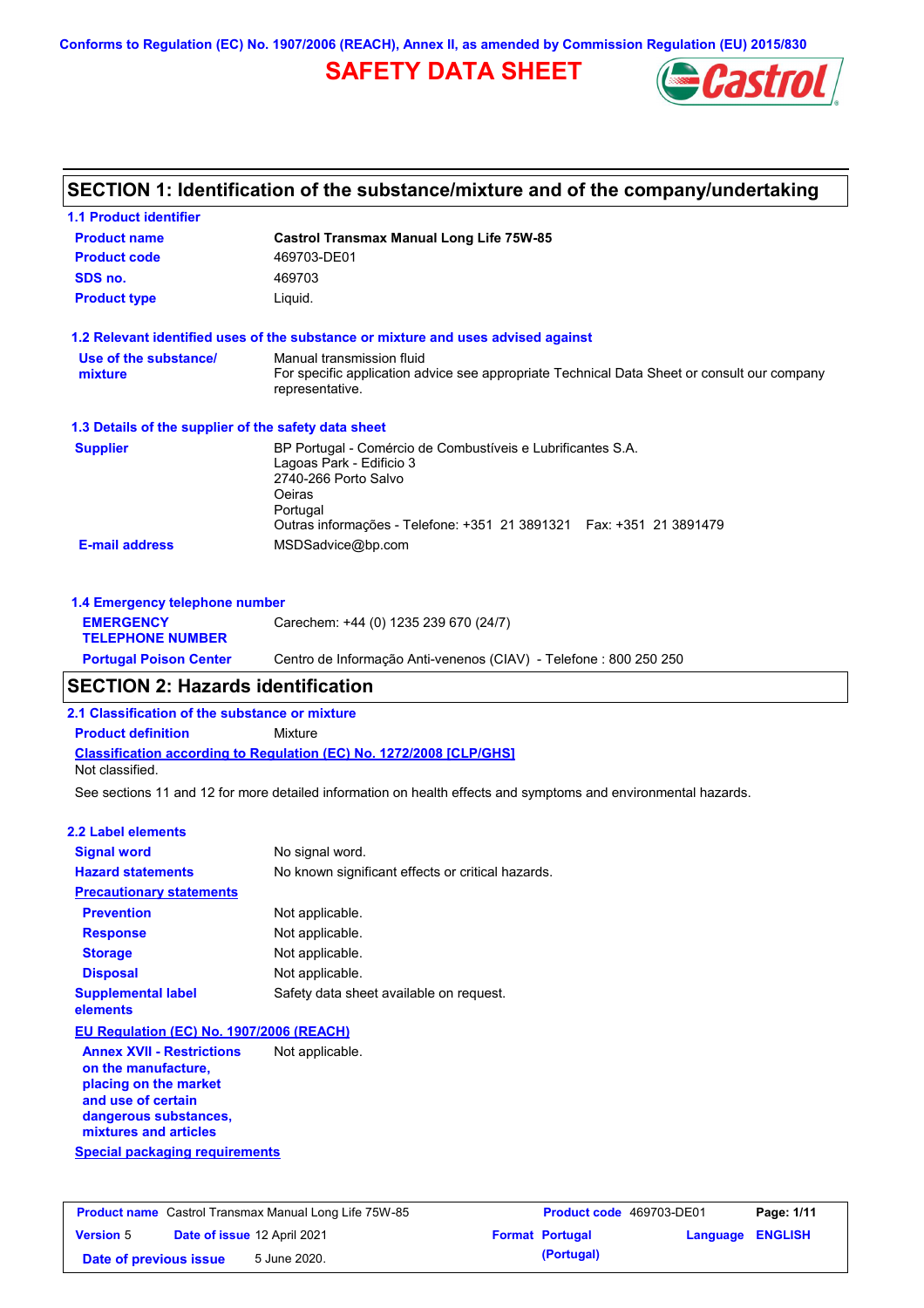**Conforms to Regulation (EC) No. 1907/2006 (REACH), Annex II, as amended by Commission Regulation (EU) 2015/830**

# **SAFETY DATA SHEET**



# **SECTION 1: Identification of the substance/mixture and of the company/undertaking**

| <b>1.1 Product identifier</b>                        |                                                                                                                                                                                                               |  |
|------------------------------------------------------|---------------------------------------------------------------------------------------------------------------------------------------------------------------------------------------------------------------|--|
| <b>Product name</b>                                  | <b>Castrol Transmax Manual Long Life 75W-85</b>                                                                                                                                                               |  |
| <b>Product code</b>                                  | 469703-DE01                                                                                                                                                                                                   |  |
| SDS no.                                              | 469703                                                                                                                                                                                                        |  |
| <b>Product type</b>                                  | Liquid.                                                                                                                                                                                                       |  |
|                                                      | 1.2 Relevant identified uses of the substance or mixture and uses advised against                                                                                                                             |  |
| Use of the substance/<br>mixture                     | Manual transmission fluid<br>For specific application advice see appropriate Technical Data Sheet or consult our company<br>representative.                                                                   |  |
| 1.3 Details of the supplier of the safety data sheet |                                                                                                                                                                                                               |  |
| <b>Supplier</b>                                      | BP Portugal - Comércio de Combustíveis e Lubrificantes S.A.<br>Lagoas Park - Edificio 3<br>2740-266 Porto Salvo<br>Oeiras<br>Portugal<br>Outras informações - Telefone: +351 21 3891321  Fax: +351 21 3891479 |  |
| <b>E-mail address</b>                                | MSDSadvice@bp.com                                                                                                                                                                                             |  |
| 1.4 Emergency telephone number                       |                                                                                                                                                                                                               |  |
|                                                      |                                                                                                                                                                                                               |  |

| <b>EMERGENCY</b><br><b>TELEPHONE NUMBER</b> | Carechem: +44 (0) 1235 239 670 (24/7)                             |
|---------------------------------------------|-------------------------------------------------------------------|
| <b>Portugal Poison Center</b>               | Centro de Informação Anti-venenos (CIAV) - Telefone : 800 250 250 |
|                                             |                                                                   |

# **SECTION 2: Hazards identification**

**2.1 Classification of the substance or mixture**

**Classification according to Regulation (EC) No. 1272/2008 [CLP/GHS] Product definition** Mixture Not classified.

See sections 11 and 12 for more detailed information on health effects and symptoms and environmental hazards.

#### **2.2 Label elements**

| <b>Signal word</b>                       | No signal word.                                   |  |  |
|------------------------------------------|---------------------------------------------------|--|--|
| <b>Hazard statements</b>                 | No known significant effects or critical hazards. |  |  |
| <b>Precautionary statements</b>          |                                                   |  |  |
| <b>Prevention</b>                        | Not applicable.                                   |  |  |
| <b>Response</b>                          | Not applicable.                                   |  |  |
| <b>Storage</b>                           | Not applicable.                                   |  |  |
| <b>Disposal</b>                          | Not applicable.                                   |  |  |
| <b>Supplemental label</b><br>elements    | Safety data sheet available on request.           |  |  |
| EU Regulation (EC) No. 1907/2006 (REACH) |                                                   |  |  |

**Special packaging requirements Annex XVII - Restrictions on the manufacture, placing on the market and use of certain dangerous substances, mixtures and articles** Not applicable.

| <b>Product name</b> Castrol Transmax Manual Long Life 75W-85 |  | <b>Product code</b> 469703-DE01 |  | Page: 1/11             |                         |  |
|--------------------------------------------------------------|--|---------------------------------|--|------------------------|-------------------------|--|
| <b>Version 5</b>                                             |  | Date of issue 12 April 2021     |  | <b>Format Portugal</b> | <b>Language ENGLISH</b> |  |
| Date of previous issue                                       |  | 5 June 2020.                    |  | (Portugal)             |                         |  |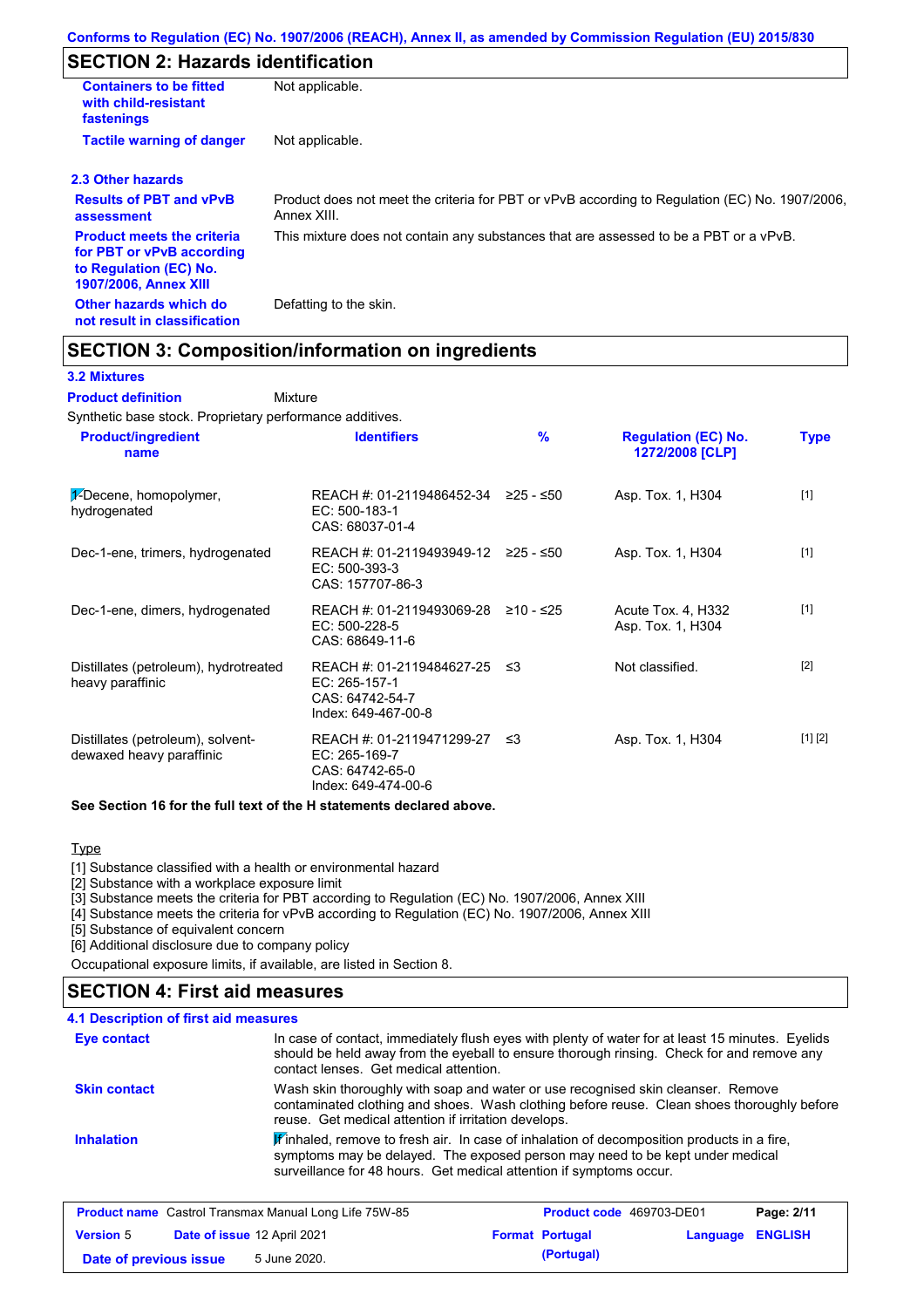# **SECTION 2: Hazards identification**

| <b>Containers to be fitted</b><br>with child-resistant<br>fastenings                                                     | Not applicable.                                                                                               |
|--------------------------------------------------------------------------------------------------------------------------|---------------------------------------------------------------------------------------------------------------|
| <b>Tactile warning of danger</b>                                                                                         | Not applicable.                                                                                               |
| 2.3 Other hazards                                                                                                        |                                                                                                               |
| <b>Results of PBT and vPvB</b><br>assessment                                                                             | Product does not meet the criteria for PBT or vPvB according to Regulation (EC) No. 1907/2006,<br>Annex XIII. |
| <b>Product meets the criteria</b><br>for PBT or vPvB according<br>to Regulation (EC) No.<br><b>1907/2006, Annex XIII</b> | This mixture does not contain any substances that are assessed to be a PBT or a vPvB.                         |
| Other hazards which do<br>not result in classification                                                                   | Defatting to the skin.                                                                                        |

## **SECTION 3: Composition/information on ingredients**

### **3.2 Mixtures**

Mixture **Product definition**

Synthetic base stock. Proprietary performance additives.

| <b>Product/ingredient</b><br>name                             | <b>Identifiers</b>                                                                   | $\frac{9}{6}$ | <b>Regulation (EC) No.</b><br>1272/2008 [CLP] | <b>Type</b> |
|---------------------------------------------------------------|--------------------------------------------------------------------------------------|---------------|-----------------------------------------------|-------------|
| 1-Decene, homopolymer,<br>hydrogenated                        | REACH #: 01-2119486452-34 ≥25 - ≤50<br>EC: 500-183-1<br>CAS: 68037-01-4              |               | Asp. Tox. 1, H304                             | $[1]$       |
| Dec-1-ene, trimers, hydrogenated                              | REACH #: 01-2119493949-12 ≥25 - ≤50<br>EC: 500-393-3<br>CAS: 157707-86-3             |               | Asp. Tox. 1, H304                             | $[1]$       |
| Dec-1-ene, dimers, hydrogenated                               | REACH #: 01-2119493069-28<br>$EC: 500-228-5$<br>CAS: 68649-11-6                      | ≥10 - ≤25     | Acute Tox. 4, H332<br>Asp. Tox. 1, H304       | $[1]$       |
| Distillates (petroleum), hydrotreated<br>heavy paraffinic     | REACH #: 01-2119484627-25<br>EC: 265-157-1<br>CAS: 64742-54-7<br>Index: 649-467-00-8 | -≤3           | Not classified.                               | $[2]$       |
| Distillates (petroleum), solvent-<br>dewaxed heavy paraffinic | REACH #: 01-2119471299-27<br>EC: 265-169-7<br>CAS: 64742-65-0<br>Index: 649-474-00-6 | - ≤3          | Asp. Tox. 1, H304                             | [1] [2]     |

### **See Section 16 for the full text of the H statements declared above.**

### **Type**

[1] Substance classified with a health or environmental hazard

[2] Substance with a workplace exposure limit

[3] Substance meets the criteria for PBT according to Regulation (EC) No. 1907/2006, Annex XIII

[4] Substance meets the criteria for vPvB according to Regulation (EC) No. 1907/2006, Annex XIII

[5] Substance of equivalent concern

[6] Additional disclosure due to company policy

Occupational exposure limits, if available, are listed in Section 8.

## **SECTION 4: First aid measures**

### **4.1 Description of first aid measures**

| <b>Eye contact</b>  | In case of contact, immediately flush eyes with plenty of water for at least 15 minutes. Eyelids<br>should be held away from the eyeball to ensure thorough rinsing. Check for and remove any<br>contact lenses. Get medical attention.           |
|---------------------|---------------------------------------------------------------------------------------------------------------------------------------------------------------------------------------------------------------------------------------------------|
| <b>Skin contact</b> | Wash skin thoroughly with soap and water or use recognised skin cleanser. Remove<br>contaminated clothing and shoes. Wash clothing before reuse. Clean shoes thoroughly before<br>reuse. Get medical attention if irritation develops.            |
| <b>Inhalation</b>   | Finhaled, remove to fresh air. In case of inhalation of decomposition products in a fire,<br>symptoms may be delayed. The exposed person may need to be kept under medical<br>surveillance for 48 hours. Get medical attention if symptoms occur. |

|                        | <b>Product name</b> Castrol Transmax Manual Long Life 75W-85 | Product code 469703-DE01 |                         | Page: 2/11 |
|------------------------|--------------------------------------------------------------|--------------------------|-------------------------|------------|
| <b>Version 5</b>       | <b>Date of issue 12 April 2021</b>                           | <b>Format Portugal</b>   | <b>Language ENGLISH</b> |            |
| Date of previous issue | 5 June 2020.                                                 | (Portugal)               |                         |            |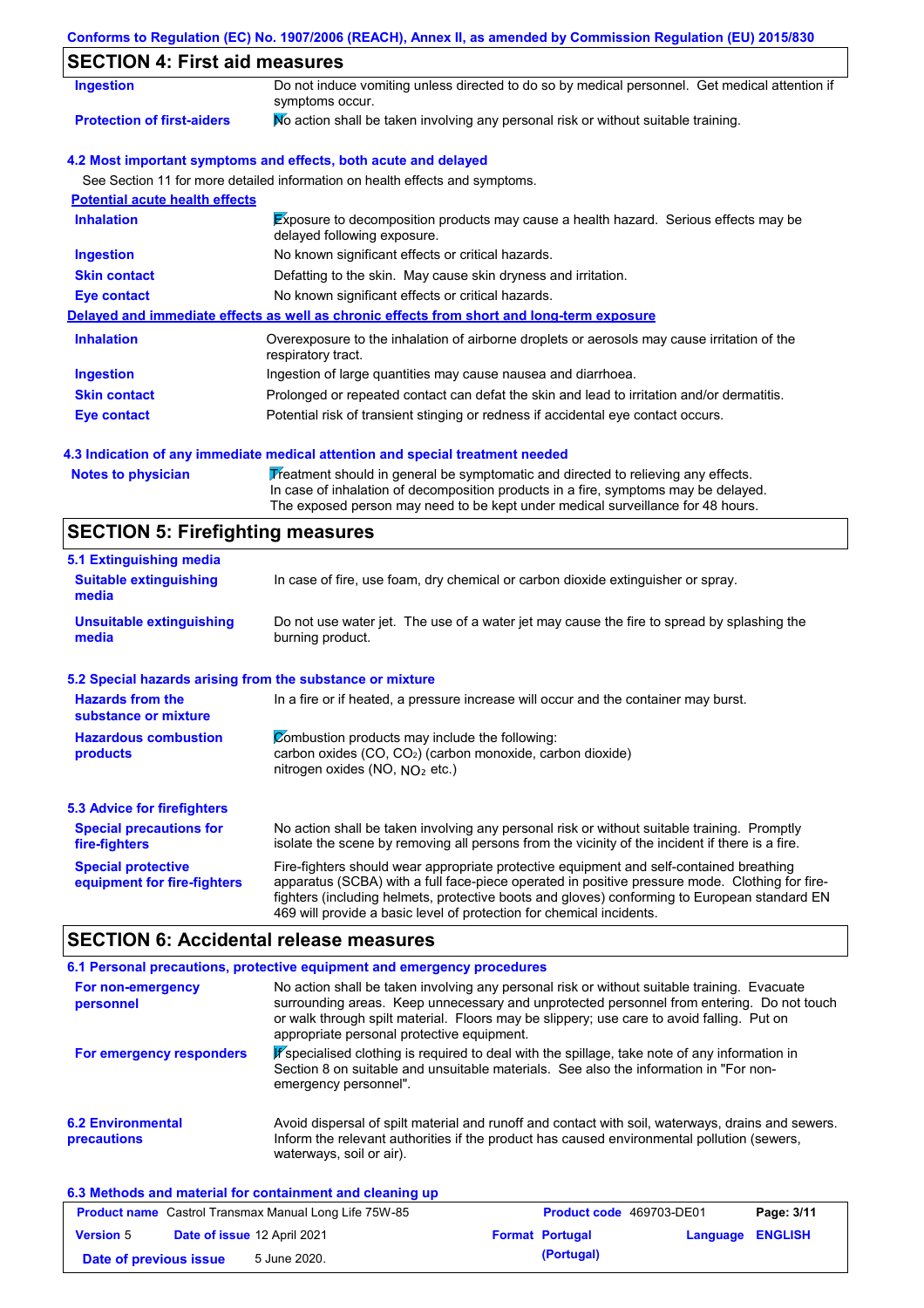## **Conforms to Regulation (EC) No. 1907/2006 (REACH), Annex II, as amended by Commission Regulation (EU) 2015/830**

# **SECTION 4: First aid measures**

| <b>Ingestion</b>                      | Do not induce vomiting unless directed to do so by medical personnel. Get medical attention if<br>symptoms occur.          |  |  |
|---------------------------------------|----------------------------------------------------------------------------------------------------------------------------|--|--|
| <b>Protection of first-aiders</b>     | No action shall be taken involving any personal risk or without suitable training.                                         |  |  |
|                                       | 4.2 Most important symptoms and effects, both acute and delayed                                                            |  |  |
|                                       | See Section 11 for more detailed information on health effects and symptoms.                                               |  |  |
| <b>Potential acute health effects</b> |                                                                                                                            |  |  |
| <b>Inhalation</b>                     | <b>Exposure to decomposition products may cause a health hazard. Serious effects may be</b><br>delayed following exposure. |  |  |
| <b>Ingestion</b>                      | No known significant effects or critical hazards.                                                                          |  |  |
| <b>Skin contact</b>                   | Defatting to the skin. May cause skin dryness and irritation.                                                              |  |  |
| Eye contact                           | No known significant effects or critical hazards.                                                                          |  |  |
|                                       | Delayed and immediate effects as well as chronic effects from short and long-term exposure                                 |  |  |
| <b>Inhalation</b>                     | Overexposure to the inhalation of airborne droplets or aerosols may cause irritation of the<br>respiratory tract.          |  |  |
| <b>Ingestion</b>                      | Ingestion of large quantities may cause nausea and diarrhoea.                                                              |  |  |
| <b>Skin contact</b>                   | Prolonged or repeated contact can defat the skin and lead to irritation and/or dermatitis.                                 |  |  |
| Eye contact                           | Potential risk of transient stinging or redness if accidental eye contact occurs.                                          |  |  |

## **4.3 Indication of any immediate medical attention and special treatment needed**

| Notes to physician | Treatment should in general be symptomatic and directed to relieving any effects.   |
|--------------------|-------------------------------------------------------------------------------------|
|                    | In case of inhalation of decomposition products in a fire, symptoms may be delayed. |
|                    | The exposed person may need to be kept under medical surveillance for 48 hours.     |

# **SECTION 5: Firefighting measures**

| 5.1 Extinguishing media                                                                                                                                                                                           |                                                                                                                                                                                                                                                                                                                                                                   |  |  |  |
|-------------------------------------------------------------------------------------------------------------------------------------------------------------------------------------------------------------------|-------------------------------------------------------------------------------------------------------------------------------------------------------------------------------------------------------------------------------------------------------------------------------------------------------------------------------------------------------------------|--|--|--|
| <b>Suitable extinguishing</b><br>media                                                                                                                                                                            | In case of fire, use foam, dry chemical or carbon dioxide extinguisher or spray.                                                                                                                                                                                                                                                                                  |  |  |  |
| <b>Unsuitable extinguishing</b><br>media                                                                                                                                                                          | Do not use water jet. The use of a water jet may cause the fire to spread by splashing the<br>burning product.                                                                                                                                                                                                                                                    |  |  |  |
| 5.2 Special hazards arising from the substance or mixture                                                                                                                                                         |                                                                                                                                                                                                                                                                                                                                                                   |  |  |  |
| <b>Hazards from the</b><br>substance or mixture                                                                                                                                                                   | In a fire or if heated, a pressure increase will occur and the container may burst.                                                                                                                                                                                                                                                                               |  |  |  |
| Combustion products may include the following:<br><b>Hazardous combustion</b><br>carbon oxides (CO, CO <sub>2</sub> ) (carbon monoxide, carbon dioxide)<br>products<br>nitrogen oxides (NO, NO <sub>2</sub> etc.) |                                                                                                                                                                                                                                                                                                                                                                   |  |  |  |
| <b>5.3 Advice for firefighters</b>                                                                                                                                                                                |                                                                                                                                                                                                                                                                                                                                                                   |  |  |  |
| <b>Special precautions for</b><br>fire-fighters                                                                                                                                                                   | No action shall be taken involving any personal risk or without suitable training. Promptly<br>isolate the scene by removing all persons from the vicinity of the incident if there is a fire.                                                                                                                                                                    |  |  |  |
| <b>Special protective</b><br>equipment for fire-fighters                                                                                                                                                          | Fire-fighters should wear appropriate protective equipment and self-contained breathing<br>apparatus (SCBA) with a full face-piece operated in positive pressure mode. Clothing for fire-<br>fighters (including helmets, protective boots and gloves) conforming to European standard EN<br>469 will provide a basic level of protection for chemical incidents. |  |  |  |

## **SECTION 6: Accidental release measures**

|                                                          | 6.1 Personal precautions, protective equipment and emergency procedures                                                                                                                                                                                                                                                             |
|----------------------------------------------------------|-------------------------------------------------------------------------------------------------------------------------------------------------------------------------------------------------------------------------------------------------------------------------------------------------------------------------------------|
| For non-emergency<br>personnel                           | No action shall be taken involving any personal risk or without suitable training. Evacuate<br>surrounding areas. Keep unnecessary and unprotected personnel from entering. Do not touch<br>or walk through spilt material. Floors may be slippery; use care to avoid falling. Put on<br>appropriate personal protective equipment. |
| For emergency responders                                 | K specialised clothing is required to deal with the spillage, take note of any information in<br>Section 8 on suitable and unsuitable materials. See also the information in "For non-<br>emergency personnel".                                                                                                                     |
| <b>6.2 Environmental</b><br>precautions                  | Avoid dispersal of spilt material and runoff and contact with soil, waterways, drains and sewers.<br>Inform the relevant authorities if the product has caused environmental pollution (sewers,<br>waterways, soil or air).                                                                                                         |
| 6.3 Methods and material for containment and cleaning up |                                                                                                                                                                                                                                                                                                                                     |

|                        |                             | <b>Product name</b> Castrol Transmax Manual Long Life 75W-85 | <b>Product code</b> 469703-DE01 |                         | Page: 3/11 |
|------------------------|-----------------------------|--------------------------------------------------------------|---------------------------------|-------------------------|------------|
| <b>Version 5</b>       | Date of issue 12 April 2021 |                                                              | <b>Format Portugal</b>          | <b>Language ENGLISH</b> |            |
| Date of previous issue |                             | 5 June 2020.                                                 | (Portugal)                      |                         |            |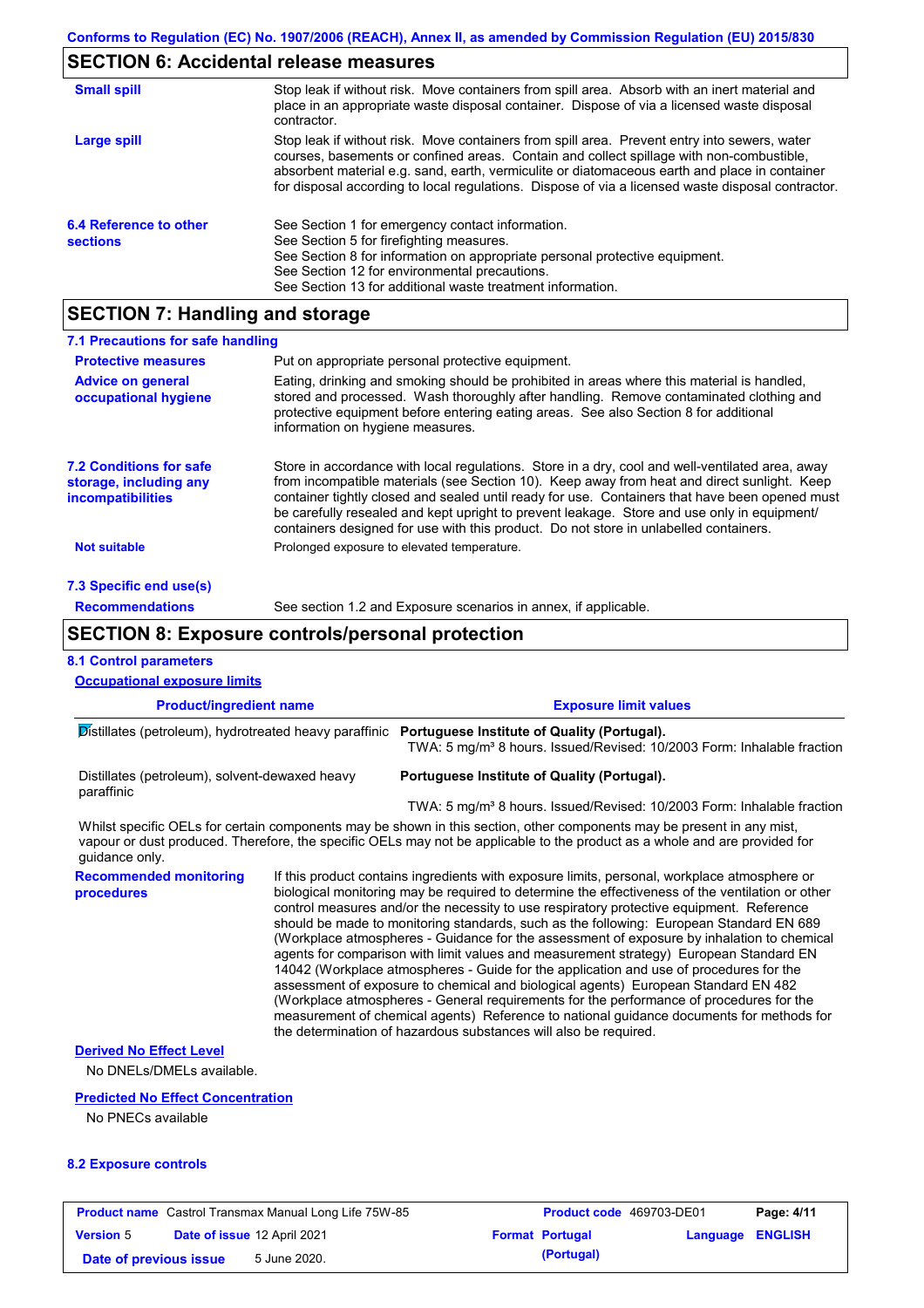## **SECTION 6: Accidental release measures**

| <b>Small spill</b>                        | Stop leak if without risk. Move containers from spill area. Absorb with an inert material and<br>place in an appropriate waste disposal container. Dispose of via a licensed waste disposal<br>contractor.                                                                                                                                                                                     |
|-------------------------------------------|------------------------------------------------------------------------------------------------------------------------------------------------------------------------------------------------------------------------------------------------------------------------------------------------------------------------------------------------------------------------------------------------|
| Large spill                               | Stop leak if without risk. Move containers from spill area. Prevent entry into sewers, water<br>courses, basements or confined areas. Contain and collect spillage with non-combustible,<br>absorbent material e.g. sand, earth, vermiculite or diatomaceous earth and place in container<br>for disposal according to local regulations. Dispose of via a licensed waste disposal contractor. |
| 6.4 Reference to other<br><b>sections</b> | See Section 1 for emergency contact information.<br>See Section 5 for firefighting measures.<br>See Section 8 for information on appropriate personal protective equipment.<br>See Section 12 for environmental precautions.<br>See Section 13 for additional waste treatment information.                                                                                                     |

## **SECTION 7: Handling and storage**

| 7.1 Precautions for safe handling                                                    |                                                                                                                                                                                                                                                                                                                                                                                                                                                                                          |  |  |  |  |  |
|--------------------------------------------------------------------------------------|------------------------------------------------------------------------------------------------------------------------------------------------------------------------------------------------------------------------------------------------------------------------------------------------------------------------------------------------------------------------------------------------------------------------------------------------------------------------------------------|--|--|--|--|--|
| <b>Protective measures</b>                                                           | Put on appropriate personal protective equipment.                                                                                                                                                                                                                                                                                                                                                                                                                                        |  |  |  |  |  |
| <b>Advice on general</b><br>occupational hygiene                                     | Eating, drinking and smoking should be prohibited in areas where this material is handled,<br>stored and processed. Wash thoroughly after handling. Remove contaminated clothing and<br>protective equipment before entering eating areas. See also Section 8 for additional<br>information on hygiene measures.                                                                                                                                                                         |  |  |  |  |  |
| <b>7.2 Conditions for safe</b><br>storage, including any<br><i>incompatibilities</i> | Store in accordance with local regulations. Store in a dry, cool and well-ventilated area, away<br>from incompatible materials (see Section 10). Keep away from heat and direct sunlight. Keep<br>container tightly closed and sealed until ready for use. Containers that have been opened must<br>be carefully resealed and kept upright to prevent leakage. Store and use only in equipment/<br>containers designed for use with this product. Do not store in unlabelled containers. |  |  |  |  |  |
| <b>Not suitable</b>                                                                  | Prolonged exposure to elevated temperature.                                                                                                                                                                                                                                                                                                                                                                                                                                              |  |  |  |  |  |
| 7.3 Specific end use(s)                                                              |                                                                                                                                                                                                                                                                                                                                                                                                                                                                                          |  |  |  |  |  |
| <b>Recommendations</b>                                                               | See section 1.2 and Exposure scenarios in annex, if applicable.                                                                                                                                                                                                                                                                                                                                                                                                                          |  |  |  |  |  |
|                                                                                      | <b>SECTION 8: Exposure controls/personal protection</b>                                                                                                                                                                                                                                                                                                                                                                                                                                  |  |  |  |  |  |
| <b>8.1 Control parameters</b>                                                        |                                                                                                                                                                                                                                                                                                                                                                                                                                                                                          |  |  |  |  |  |

#### **Product/ingredient name Exposure limit values Recommended monitoring procedures** If this product contains ingredients with exposure limits, personal, workplace atmosphere or biological monitoring may be required to determine the effectiveness of the ventilation or other control measures and/or the necessity to use respiratory protective equipment. Reference should be made to monitoring standards, such as the following: European Standard EN 689 (Workplace atmospheres - Guidance for the assessment of exposure by inhalation to chemical agents for comparison with limit values and measurement strategy) European Standard EN 14042 (Workplace atmospheres - Guide for the application and use of procedures for the assessment of exposure to chemical and biological agents) European Standard EN 482 Whilst specific OELs for certain components may be shown in this section, other components may be present in any mist. vapour or dust produced. Therefore, the specific OELs may not be applicable to the product as a whole and are provided for guidance only. **Occupational exposure limits** Distillates (petroleum), hydrotreated heavy paraffinic **Portuguese Institute of Quality (Portugal).** TWA: 5 mg/m<sup>3</sup> 8 hours. Issued/Revised: 10/2003 Form: Inhalable fraction Distillates (petroleum), solvent-dewaxed heavy paraffinic **Portuguese Institute of Quality (Portugal).** TWA: 5 mg/m<sup>3</sup> 8 hours. Issued/Revised: 10/2003 Form: Inhalable fraction

the determination of hazardous substances will also be required.

(Workplace atmospheres - General requirements for the performance of procedures for the measurement of chemical agents) Reference to national guidance documents for methods for

#### **Derived No Effect Level**

No DNELs/DMELs available.

#### **Predicted No Effect Concentration**

No PNECs available

#### **8.2 Exposure controls**

|                        | <b>Product name</b> Castrol Transmax Manual Long Life 75W-85 | <b>Product code</b> 469703-DE01 |                         | Page: 4/11 |
|------------------------|--------------------------------------------------------------|---------------------------------|-------------------------|------------|
| <b>Version 5</b>       | Date of issue 12 April 2021                                  | <b>Format Portugal</b>          | <b>Language ENGLISH</b> |            |
| Date of previous issue | 5 June 2020.                                                 | (Portugal)                      |                         |            |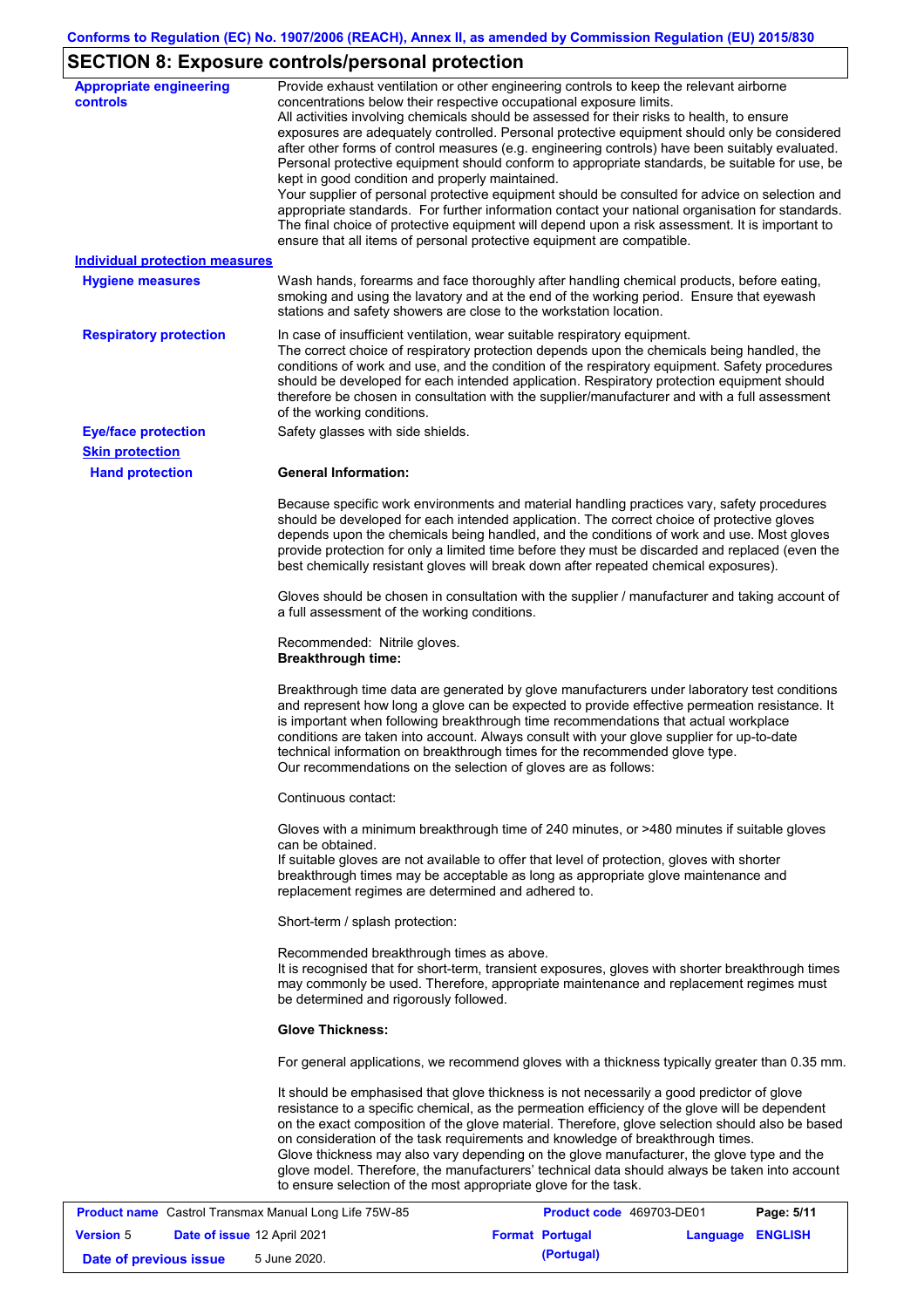# **SECTION 8: Exposure controls/personal protection**

| <b>Appropriate engineering</b><br><b>controls</b> | Provide exhaust ventilation or other engineering controls to keep the relevant airborne<br>concentrations below their respective occupational exposure limits.<br>All activities involving chemicals should be assessed for their risks to health, to ensure<br>exposures are adequately controlled. Personal protective equipment should only be considered<br>after other forms of control measures (e.g. engineering controls) have been suitably evaluated.<br>Personal protective equipment should conform to appropriate standards, be suitable for use, be<br>kept in good condition and properly maintained.<br>Your supplier of personal protective equipment should be consulted for advice on selection and<br>appropriate standards. For further information contact your national organisation for standards.<br>The final choice of protective equipment will depend upon a risk assessment. It is important to<br>ensure that all items of personal protective equipment are compatible. |  |  |  |  |
|---------------------------------------------------|---------------------------------------------------------------------------------------------------------------------------------------------------------------------------------------------------------------------------------------------------------------------------------------------------------------------------------------------------------------------------------------------------------------------------------------------------------------------------------------------------------------------------------------------------------------------------------------------------------------------------------------------------------------------------------------------------------------------------------------------------------------------------------------------------------------------------------------------------------------------------------------------------------------------------------------------------------------------------------------------------------|--|--|--|--|
| <b>Individual protection measures</b>             |                                                                                                                                                                                                                                                                                                                                                                                                                                                                                                                                                                                                                                                                                                                                                                                                                                                                                                                                                                                                         |  |  |  |  |
| <b>Hygiene measures</b>                           | Wash hands, forearms and face thoroughly after handling chemical products, before eating,<br>smoking and using the lavatory and at the end of the working period. Ensure that eyewash<br>stations and safety showers are close to the workstation location.                                                                                                                                                                                                                                                                                                                                                                                                                                                                                                                                                                                                                                                                                                                                             |  |  |  |  |
| <b>Respiratory protection</b>                     | In case of insufficient ventilation, wear suitable respiratory equipment.<br>The correct choice of respiratory protection depends upon the chemicals being handled, the<br>conditions of work and use, and the condition of the respiratory equipment. Safety procedures<br>should be developed for each intended application. Respiratory protection equipment should<br>therefore be chosen in consultation with the supplier/manufacturer and with a full assessment<br>of the working conditions.                                                                                                                                                                                                                                                                                                                                                                                                                                                                                                   |  |  |  |  |
| <b>Eye/face protection</b>                        | Safety glasses with side shields.                                                                                                                                                                                                                                                                                                                                                                                                                                                                                                                                                                                                                                                                                                                                                                                                                                                                                                                                                                       |  |  |  |  |
| <b>Skin protection</b>                            |                                                                                                                                                                                                                                                                                                                                                                                                                                                                                                                                                                                                                                                                                                                                                                                                                                                                                                                                                                                                         |  |  |  |  |
| <b>Hand protection</b>                            | <b>General Information:</b>                                                                                                                                                                                                                                                                                                                                                                                                                                                                                                                                                                                                                                                                                                                                                                                                                                                                                                                                                                             |  |  |  |  |
|                                                   | Because specific work environments and material handling practices vary, safety procedures<br>should be developed for each intended application. The correct choice of protective gloves<br>depends upon the chemicals being handled, and the conditions of work and use. Most gloves<br>provide protection for only a limited time before they must be discarded and replaced (even the<br>best chemically resistant gloves will break down after repeated chemical exposures).                                                                                                                                                                                                                                                                                                                                                                                                                                                                                                                        |  |  |  |  |
|                                                   | Gloves should be chosen in consultation with the supplier / manufacturer and taking account of<br>a full assessment of the working conditions.                                                                                                                                                                                                                                                                                                                                                                                                                                                                                                                                                                                                                                                                                                                                                                                                                                                          |  |  |  |  |
|                                                   | Recommended: Nitrile gloves.<br><b>Breakthrough time:</b>                                                                                                                                                                                                                                                                                                                                                                                                                                                                                                                                                                                                                                                                                                                                                                                                                                                                                                                                               |  |  |  |  |
|                                                   | Breakthrough time data are generated by glove manufacturers under laboratory test conditions<br>and represent how long a glove can be expected to provide effective permeation resistance. It<br>is important when following breakthrough time recommendations that actual workplace<br>conditions are taken into account. Always consult with your glove supplier for up-to-date<br>technical information on breakthrough times for the recommended glove type.<br>Our recommendations on the selection of gloves are as follows:                                                                                                                                                                                                                                                                                                                                                                                                                                                                      |  |  |  |  |
|                                                   | Continuous contact:                                                                                                                                                                                                                                                                                                                                                                                                                                                                                                                                                                                                                                                                                                                                                                                                                                                                                                                                                                                     |  |  |  |  |
|                                                   | Gloves with a minimum breakthrough time of 240 minutes, or >480 minutes if suitable gloves<br>can be obtained.<br>If suitable gloves are not available to offer that level of protection, gloves with shorter<br>breakthrough times may be acceptable as long as appropriate glove maintenance and<br>replacement regimes are determined and adhered to.                                                                                                                                                                                                                                                                                                                                                                                                                                                                                                                                                                                                                                                |  |  |  |  |
|                                                   | Short-term / splash protection:                                                                                                                                                                                                                                                                                                                                                                                                                                                                                                                                                                                                                                                                                                                                                                                                                                                                                                                                                                         |  |  |  |  |
|                                                   | Recommended breakthrough times as above.<br>It is recognised that for short-term, transient exposures, gloves with shorter breakthrough times<br>may commonly be used. Therefore, appropriate maintenance and replacement regimes must<br>be determined and rigorously followed.                                                                                                                                                                                                                                                                                                                                                                                                                                                                                                                                                                                                                                                                                                                        |  |  |  |  |
|                                                   | <b>Glove Thickness:</b>                                                                                                                                                                                                                                                                                                                                                                                                                                                                                                                                                                                                                                                                                                                                                                                                                                                                                                                                                                                 |  |  |  |  |
|                                                   | For general applications, we recommend gloves with a thickness typically greater than 0.35 mm.                                                                                                                                                                                                                                                                                                                                                                                                                                                                                                                                                                                                                                                                                                                                                                                                                                                                                                          |  |  |  |  |
|                                                   | It should be emphasised that glove thickness is not necessarily a good predictor of glove<br>resistance to a specific chemical, as the permeation efficiency of the glove will be dependent<br>on the exact composition of the glove material. Therefore, glove selection should also be based<br>on consideration of the task requirements and knowledge of breakthrough times.<br>Glove thickness may also vary depending on the glove manufacturer, the glove type and the<br>glove model. Therefore, the manufacturers' technical data should always be taken into account<br>to ensure selection of the most appropriate glove for the task.                                                                                                                                                                                                                                                                                                                                                       |  |  |  |  |

|                        | <b>Product name</b> Castrol Transmax Manual Long Life 75W-85 | Product code 469703-DE01 |                  | Page: 5/11 |
|------------------------|--------------------------------------------------------------|--------------------------|------------------|------------|
| <b>Version 5</b>       | <b>Date of issue 12 April 2021</b>                           | <b>Format Portugal</b>   | Language ENGLISH |            |
| Date of previous issue | 5 June 2020.                                                 | (Portugal)               |                  |            |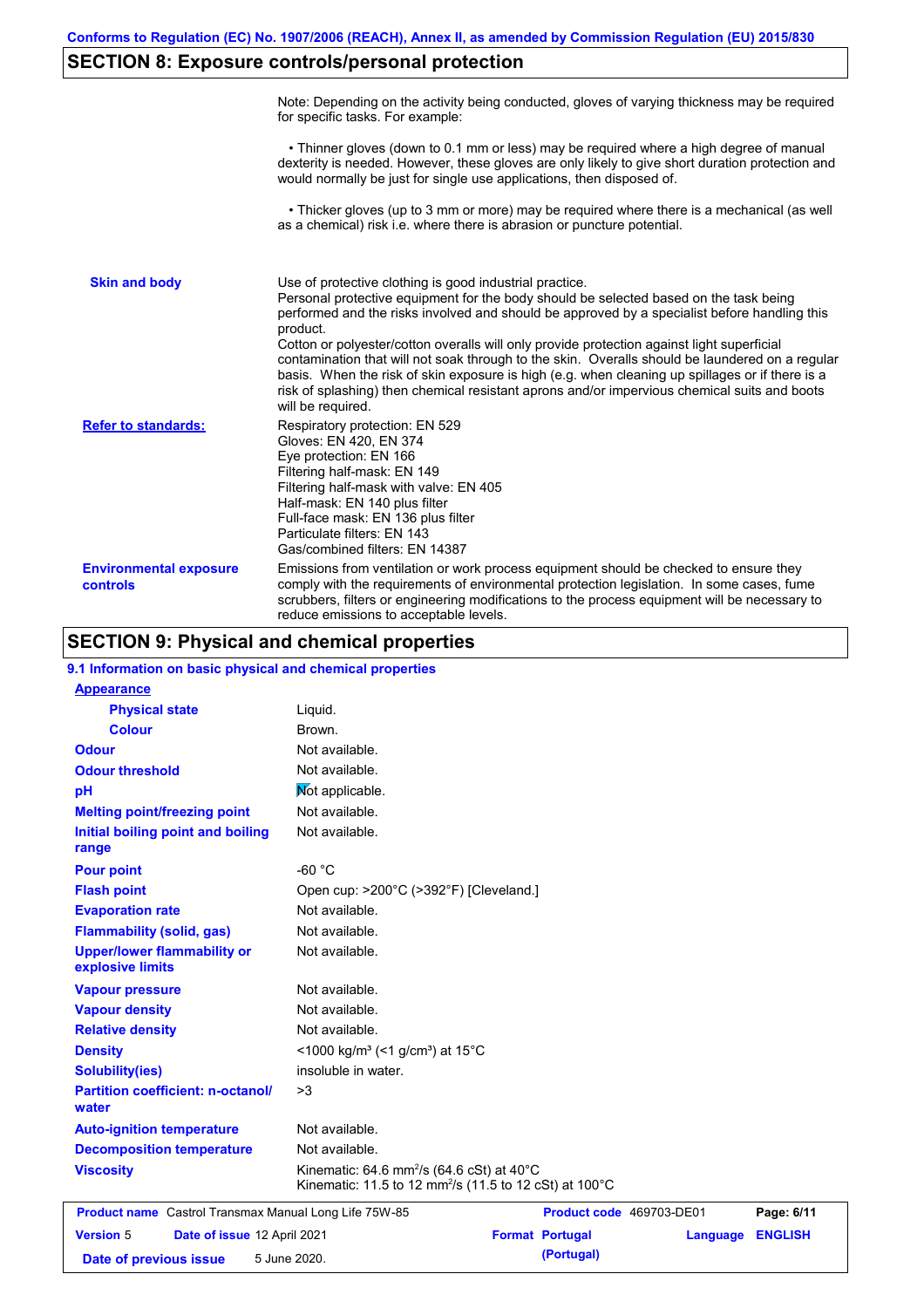# **SECTION 8: Exposure controls/personal protection**

|                                           | Note: Depending on the activity being conducted, gloves of varying thickness may be required<br>for specific tasks. For example:                                                                                                                                                                                                                                                                                                                                                                                                                                                                                                                                                      |
|-------------------------------------------|---------------------------------------------------------------------------------------------------------------------------------------------------------------------------------------------------------------------------------------------------------------------------------------------------------------------------------------------------------------------------------------------------------------------------------------------------------------------------------------------------------------------------------------------------------------------------------------------------------------------------------------------------------------------------------------|
|                                           | • Thinner gloves (down to 0.1 mm or less) may be required where a high degree of manual<br>dexterity is needed. However, these gloves are only likely to give short duration protection and<br>would normally be just for single use applications, then disposed of.                                                                                                                                                                                                                                                                                                                                                                                                                  |
|                                           | • Thicker gloves (up to 3 mm or more) may be required where there is a mechanical (as well<br>as a chemical) risk i.e. where there is abrasion or puncture potential.                                                                                                                                                                                                                                                                                                                                                                                                                                                                                                                 |
| <b>Skin and body</b>                      | Use of protective clothing is good industrial practice.<br>Personal protective equipment for the body should be selected based on the task being<br>performed and the risks involved and should be approved by a specialist before handling this<br>product.<br>Cotton or polyester/cotton overalls will only provide protection against light superficial<br>contamination that will not soak through to the skin. Overalls should be laundered on a regular<br>basis. When the risk of skin exposure is high (e.g. when cleaning up spillages or if there is a<br>risk of splashing) then chemical resistant aprons and/or impervious chemical suits and boots<br>will be required. |
| <b>Refer to standards:</b>                | Respiratory protection: EN 529<br>Gloves: EN 420, EN 374<br>Eye protection: EN 166<br>Filtering half-mask: EN 149<br>Filtering half-mask with valve: EN 405<br>Half-mask: EN 140 plus filter<br>Full-face mask: EN 136 plus filter<br>Particulate filters: EN 143<br>Gas/combined filters: EN 14387                                                                                                                                                                                                                                                                                                                                                                                   |
| <b>Environmental exposure</b><br>controls | Emissions from ventilation or work process equipment should be checked to ensure they<br>comply with the requirements of environmental protection legislation. In some cases, fume<br>scrubbers, filters or engineering modifications to the process equipment will be necessary to<br>reduce emissions to acceptable levels.                                                                                                                                                                                                                                                                                                                                                         |

## **SECTION 9: Physical and chemical properties**

| 9.1 Information on basic physical and chemical properties    |                                                                                                                                       |                        |                          |                |
|--------------------------------------------------------------|---------------------------------------------------------------------------------------------------------------------------------------|------------------------|--------------------------|----------------|
| <b>Appearance</b>                                            |                                                                                                                                       |                        |                          |                |
| <b>Physical state</b>                                        | Liquid.                                                                                                                               |                        |                          |                |
| <b>Colour</b>                                                | Brown.                                                                                                                                |                        |                          |                |
| <b>Odour</b>                                                 | Not available.                                                                                                                        |                        |                          |                |
| <b>Odour threshold</b>                                       | Not available.                                                                                                                        |                        |                          |                |
| pH                                                           | Not applicable.                                                                                                                       |                        |                          |                |
| <b>Melting point/freezing point</b>                          | Not available.                                                                                                                        |                        |                          |                |
| Initial boiling point and boiling<br>range                   | Not available.                                                                                                                        |                        |                          |                |
| <b>Pour point</b>                                            | $-60 °C$                                                                                                                              |                        |                          |                |
| <b>Flash point</b>                                           | Open cup: >200°C (>392°F) [Cleveland.]                                                                                                |                        |                          |                |
| <b>Evaporation rate</b>                                      | Not available.                                                                                                                        |                        |                          |                |
| <b>Flammability (solid, gas)</b>                             | Not available.                                                                                                                        |                        |                          |                |
| <b>Upper/lower flammability or</b><br>explosive limits       | Not available.                                                                                                                        |                        |                          |                |
| <b>Vapour pressure</b>                                       | Not available.                                                                                                                        |                        |                          |                |
| <b>Vapour density</b>                                        | Not available.                                                                                                                        |                        |                          |                |
| <b>Relative density</b>                                      | Not available.                                                                                                                        |                        |                          |                |
| <b>Density</b>                                               | <1000 kg/m <sup>3</sup> (<1 g/cm <sup>3</sup> ) at 15 <sup>°</sup> C                                                                  |                        |                          |                |
| <b>Solubility(ies)</b>                                       | insoluble in water.                                                                                                                   |                        |                          |                |
| <b>Partition coefficient: n-octanol/</b><br>water            | >3                                                                                                                                    |                        |                          |                |
| <b>Auto-ignition temperature</b>                             | Not available.                                                                                                                        |                        |                          |                |
| <b>Decomposition temperature</b>                             | Not available.                                                                                                                        |                        |                          |                |
| <b>Viscosity</b>                                             | Kinematic: 64.6 mm <sup>2</sup> /s (64.6 cSt) at $40^{\circ}$ C<br>Kinematic: 11.5 to 12 mm <sup>2</sup> /s (11.5 to 12 cSt) at 100°C |                        |                          |                |
| <b>Product name</b> Castrol Transmax Manual Long Life 75W-85 |                                                                                                                                       |                        | Product code 469703-DE01 | Page: 6/11     |
| <b>Version 5</b><br>Date of issue 12 April 2021              |                                                                                                                                       | <b>Format Portugal</b> | Language                 | <b>ENGLISH</b> |
| Date of previous issue                                       | 5 June 2020.                                                                                                                          | (Portugal)             |                          |                |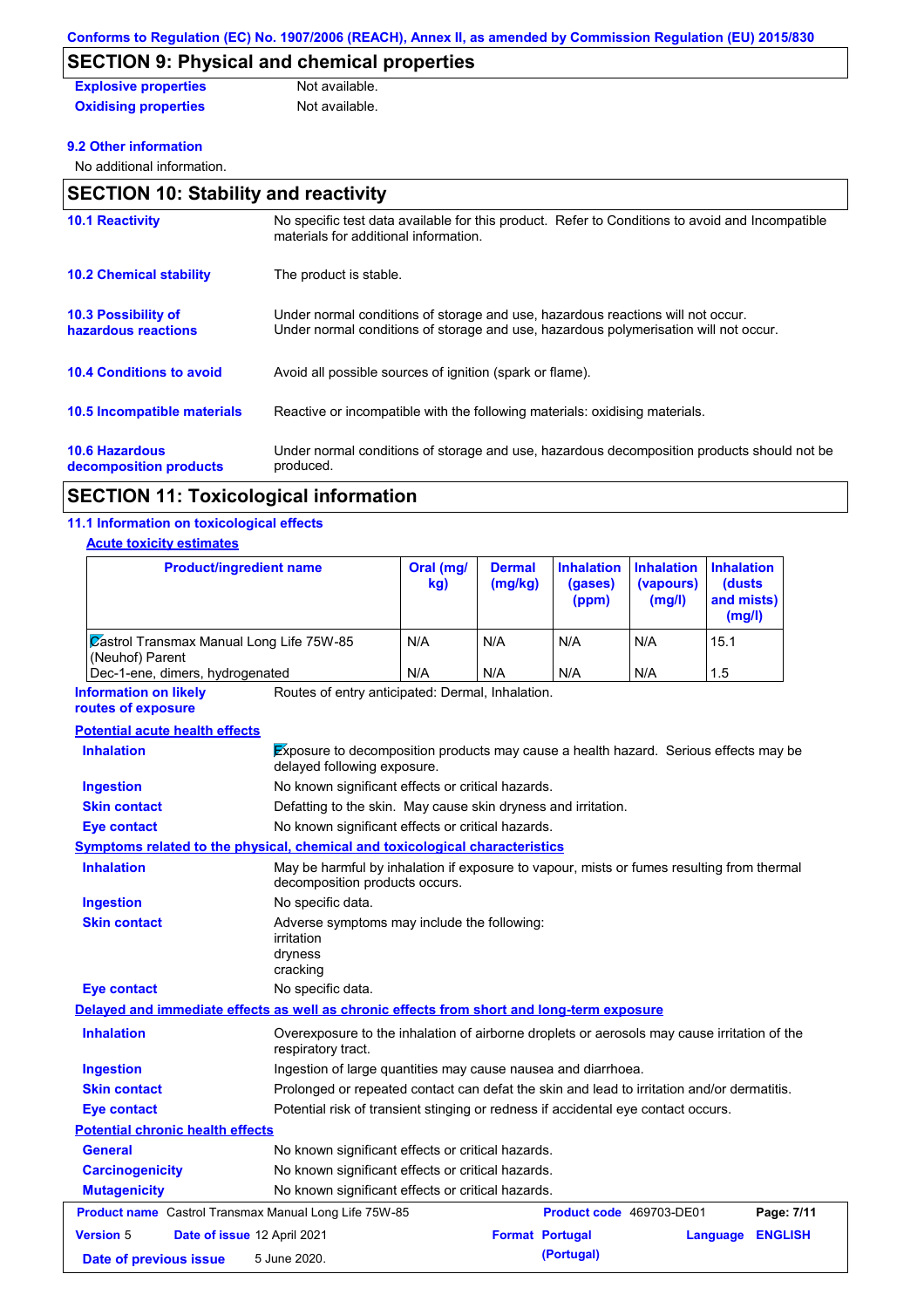# **SECTION 9: Physical and chemical properties**

| <b>Explosive properties</b> | Not available. |
|-----------------------------|----------------|
| <b>Oxidising properties</b> | Not available. |

### **9.2 Other information**

No additional information.

| <b>SECTION 10: Stability and reactivity</b>       |                                                                                                                                                                         |  |  |  |
|---------------------------------------------------|-------------------------------------------------------------------------------------------------------------------------------------------------------------------------|--|--|--|
| <b>10.1 Reactivity</b>                            | No specific test data available for this product. Refer to Conditions to avoid and Incompatible<br>materials for additional information.                                |  |  |  |
| <b>10.2 Chemical stability</b>                    | The product is stable.                                                                                                                                                  |  |  |  |
| <b>10.3 Possibility of</b><br>hazardous reactions | Under normal conditions of storage and use, hazardous reactions will not occur.<br>Under normal conditions of storage and use, hazardous polymerisation will not occur. |  |  |  |
| <b>10.4 Conditions to avoid</b>                   | Avoid all possible sources of ignition (spark or flame).                                                                                                                |  |  |  |
| 10.5 Incompatible materials                       | Reactive or incompatible with the following materials: oxidising materials.                                                                                             |  |  |  |
| <b>10.6 Hazardous</b><br>decomposition products   | Under normal conditions of storage and use, hazardous decomposition products should not be<br>produced.                                                                 |  |  |  |

## **SECTION 11: Toxicological information**

## **11.1 Information on toxicological effects**

### **Acute toxicity estimates**

| <b>Product/ingredient name</b>                                                             |                                                                                                                             | Oral (mg/<br>kg) | <b>Dermal</b><br>(mg/kg) | <b>Inhalation</b><br>(gases)<br>(ppm) | <b>Inhalation</b><br>(vapours)<br>(mg/l) | <b>Inhalation</b><br>(dusts<br>and mists)<br>(mg/l) |  |
|--------------------------------------------------------------------------------------------|-----------------------------------------------------------------------------------------------------------------------------|------------------|--------------------------|---------------------------------------|------------------------------------------|-----------------------------------------------------|--|
| <b>Zastrol Transmax Manual Long Life 75W-85</b><br>(Neuhof) Parent                         |                                                                                                                             | N/A              | N/A                      | N/A                                   | N/A                                      | 15.1                                                |  |
| Dec-1-ene, dimers, hydrogenated                                                            |                                                                                                                             | N/A              | N/A                      | N/A                                   | N/A                                      | 1.5                                                 |  |
| <b>Information on likely</b><br>routes of exposure                                         | Routes of entry anticipated: Dermal, Inhalation.                                                                            |                  |                          |                                       |                                          |                                                     |  |
| <b>Potential acute health effects</b>                                                      |                                                                                                                             |                  |                          |                                       |                                          |                                                     |  |
| <b>Inhalation</b>                                                                          | Exposure to decomposition products may cause a health hazard. Serious effects may be<br>delayed following exposure.         |                  |                          |                                       |                                          |                                                     |  |
| <b>Ingestion</b>                                                                           | No known significant effects or critical hazards.                                                                           |                  |                          |                                       |                                          |                                                     |  |
| <b>Skin contact</b>                                                                        | Defatting to the skin. May cause skin dryness and irritation.                                                               |                  |                          |                                       |                                          |                                                     |  |
| <b>Eye contact</b>                                                                         | No known significant effects or critical hazards.                                                                           |                  |                          |                                       |                                          |                                                     |  |
| Symptoms related to the physical, chemical and toxicological characteristics               |                                                                                                                             |                  |                          |                                       |                                          |                                                     |  |
| <b>Inhalation</b>                                                                          | May be harmful by inhalation if exposure to vapour, mists or fumes resulting from thermal<br>decomposition products occurs. |                  |                          |                                       |                                          |                                                     |  |
| <b>Ingestion</b>                                                                           | No specific data.                                                                                                           |                  |                          |                                       |                                          |                                                     |  |
| <b>Skin contact</b>                                                                        | Adverse symptoms may include the following:<br>irritation<br>dryness<br>cracking                                            |                  |                          |                                       |                                          |                                                     |  |
| Eye contact                                                                                | No specific data.                                                                                                           |                  |                          |                                       |                                          |                                                     |  |
| Delayed and immediate effects as well as chronic effects from short and long-term exposure |                                                                                                                             |                  |                          |                                       |                                          |                                                     |  |
| <b>Inhalation</b>                                                                          | Overexposure to the inhalation of airborne droplets or aerosols may cause irritation of the<br>respiratory tract.           |                  |                          |                                       |                                          |                                                     |  |
| <b>Ingestion</b>                                                                           | Ingestion of large quantities may cause nausea and diarrhoea.                                                               |                  |                          |                                       |                                          |                                                     |  |
| <b>Skin contact</b>                                                                        | Prolonged or repeated contact can defat the skin and lead to irritation and/or dermatitis.                                  |                  |                          |                                       |                                          |                                                     |  |
| <b>Eye contact</b>                                                                         | Potential risk of transient stinging or redness if accidental eye contact occurs.                                           |                  |                          |                                       |                                          |                                                     |  |
| <b>Potential chronic health effects</b>                                                    |                                                                                                                             |                  |                          |                                       |                                          |                                                     |  |
| General                                                                                    | No known significant effects or critical hazards.                                                                           |                  |                          |                                       |                                          |                                                     |  |
| No known significant effects or critical hazards.<br><b>Carcinogenicity</b>                |                                                                                                                             |                  |                          |                                       |                                          |                                                     |  |
| <b>Mutagenicity</b>                                                                        | No known significant effects or critical hazards.                                                                           |                  |                          |                                       |                                          |                                                     |  |
| Product name Castrol Transmax Manual Long Life 75W-85                                      |                                                                                                                             |                  |                          | Product code 469703-DE01              |                                          | Page: 7/11                                          |  |
| <b>Version 5</b><br>Date of issue 12 April 2021                                            |                                                                                                                             |                  | <b>Format Portugal</b>   |                                       |                                          | <b>ENGLISH</b><br>Language                          |  |
| Date of previous issue                                                                     | 5 June 2020.                                                                                                                |                  |                          | (Portugal)                            |                                          |                                                     |  |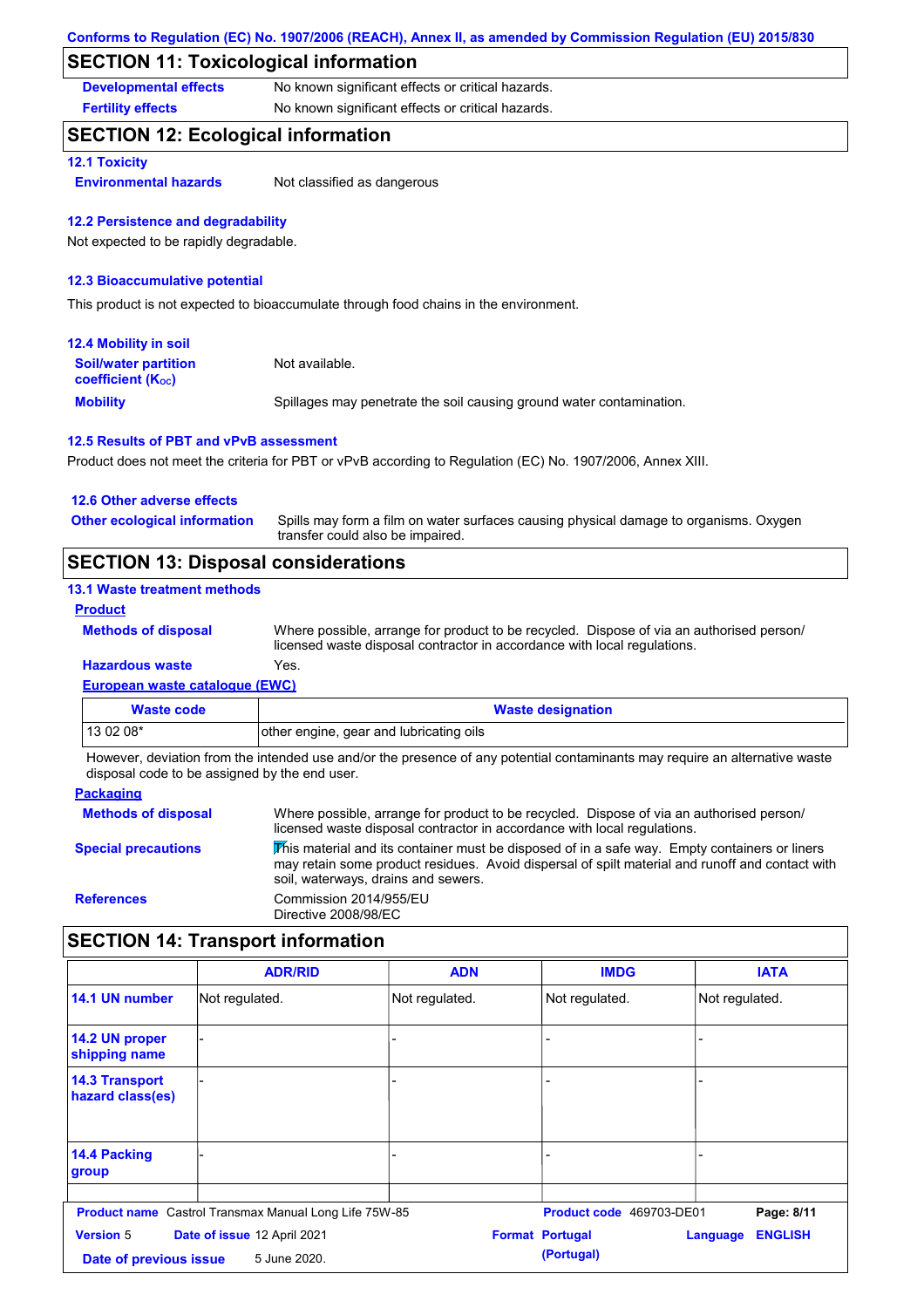## **SECTION 11: Toxicological information**

**Developmental effects** No known significant effects or critical hazards.

**Fertility effects** No known significant effects or critical hazards.

## **SECTION 12: Ecological information**

## **12.1 Toxicity**

**Environmental hazards** Not classified as dangerous

#### **12.2 Persistence and degradability**

Not expected to be rapidly degradable.

#### **12.3 Bioaccumulative potential**

This product is not expected to bioaccumulate through food chains in the environment.

| <b>12.4 Mobility in soil</b>                            |                                                                      |
|---------------------------------------------------------|----------------------------------------------------------------------|
| <b>Soil/water partition</b><br><b>coefficient (Koc)</b> | Not available.                                                       |
| <b>Mobility</b>                                         | Spillages may penetrate the soil causing ground water contamination. |

### **12.5 Results of PBT and vPvB assessment**

Product does not meet the criteria for PBT or vPvB according to Regulation (EC) No. 1907/2006, Annex XIII.

| <b>SECTION 13: Disposal considerations</b> |                                                                                                                           |
|--------------------------------------------|---------------------------------------------------------------------------------------------------------------------------|
| <b>Other ecological information</b>        | Spills may form a film on water surfaces causing physical damage to organisms. Oxygen<br>transfer could also be impaired. |
| 12.6 Other adverse effects                 |                                                                                                                           |

### **13.1 Waste treatment methods**

#### **Product**

**Hazardous waste** Yes. Where possible, arrange for product to be recycled. Dispose of via an authorised person/ licensed waste disposal contractor in accordance with local regulations.

### **European waste catalogue (EWC)**

| <b>Waste code</b> | <b>Waste designation</b>                |
|-------------------|-----------------------------------------|
| $130208*$         | other engine, gear and lubricating oils |

However, deviation from the intended use and/or the presence of any potential contaminants may require an alternative waste disposal code to be assigned by the end user.

| <b>Packaging</b>           |                                                                                                                                                                                                                                         |
|----------------------------|-----------------------------------------------------------------------------------------------------------------------------------------------------------------------------------------------------------------------------------------|
| <b>Methods of disposal</b> | Where possible, arrange for product to be recycled. Dispose of via an authorised person/<br>licensed waste disposal contractor in accordance with local regulations.                                                                    |
| <b>Special precautions</b> | This material and its container must be disposed of in a safe way. Empty containers or liners<br>may retain some product residues. Avoid dispersal of spilt material and runoff and contact with<br>soil, waterways, drains and sewers. |
| <b>References</b>          | Commission 2014/955/EU<br>Directive 2008/98/EC                                                                                                                                                                                          |

# **SECTION 14: Transport information**

|                                            | <b>ADR/RID</b>                                               | <b>ADN</b>     | <b>IMDG</b>                          | <b>IATA</b>                       |
|--------------------------------------------|--------------------------------------------------------------|----------------|--------------------------------------|-----------------------------------|
| 14.1 UN number                             | Not regulated.                                               | Not regulated. | Not regulated.                       | Not regulated.                    |
| 14.2 UN proper<br>shipping name            |                                                              |                |                                      |                                   |
| <b>14.3 Transport</b><br>hazard class(es)  |                                                              |                |                                      |                                   |
| 14.4 Packing<br>group                      |                                                              | $\overline{a}$ |                                      |                                   |
|                                            | <b>Product name</b> Castrol Transmax Manual Long Life 75W-85 |                | Product code 469703-DE01             | Page: 8/11                        |
| <b>Version 5</b><br>Date of previous issue | Date of issue 12 April 2021<br>5 June 2020.                  |                | <b>Format Portugal</b><br>(Portugal) | <b>ENGLISH</b><br><b>Language</b> |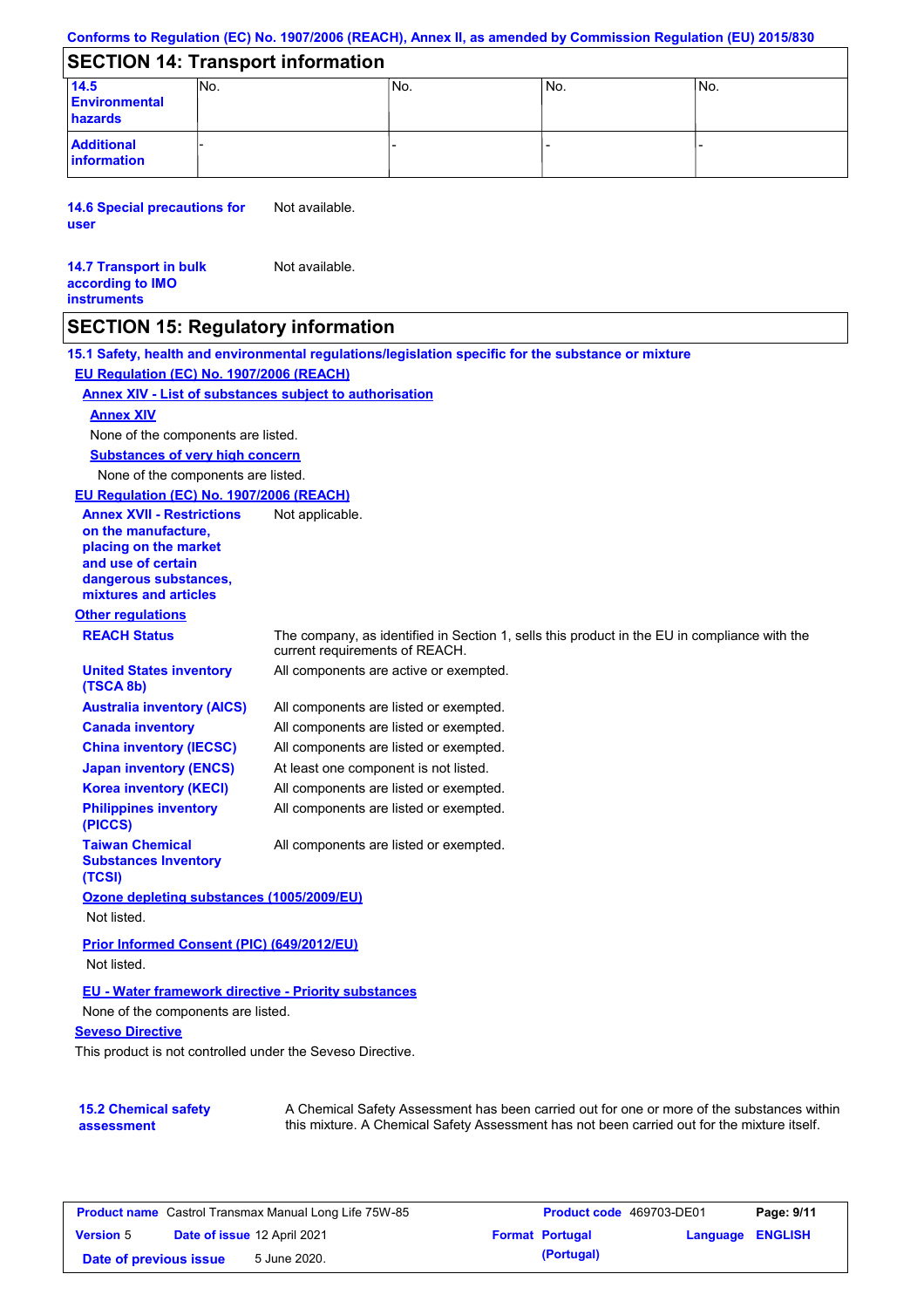### **Conforms to Regulation (EC) No. 1907/2006 (REACH), Annex II, as amended by Commission Regulation (EU) 2015/830**

## **SECTION 14: Transport information**

| 14.5<br><b>Environmental</b><br>hazards | INO. | INo. | INo. | INo. |
|-----------------------------------------|------|------|------|------|
| <b>Additional</b><br>information        |      |      |      |      |

**14.6 Special precautions for user** Not available.

#### **14.7 Transport in bulk according to IMO instruments** Not available.

## **SECTION 15: Regulatory information**

**15.1 Safety, health and environmental regulations/legislation specific for the substance or mixture EU Regulation (EC) No. 1907/2006 (REACH)**

#### **Annex XIV - List of substances subject to authorisation**

### **Annex XIV**

None of the components are listed.

**Substances of very high concern**

None of the components are listed.

#### **EU Regulation (EC) No. 1907/2006 (REACH)**

**Other regulations REACH Status** The company, as identified in Section 1, sells this product in the EU in compliance with the current requirements of REACH. All components are listed or exempted. All components are listed or exempted. All components are listed or exempted. At least one component is not listed. All components are active or exempted. All components are listed or exempted. All components are listed or exempted. **United States inventory (TSCA 8b) Australia inventory (AICS) Canada inventory China inventory (IECSC) Japan inventory (ENCS) Korea inventory (KECI) Philippines inventory (PICCS) Taiwan Chemical Substances Inventory (TCSI)** All components are listed or exempted. **Ozone depleting substances (1005/2009/EU)** Not listed. **Prior Informed Consent (PIC) (649/2012/EU)** Not listed. **Annex XVII - Restrictions on the manufacture, placing on the market and use of certain dangerous substances, mixtures and articles** Not applicable.

### **EU - Water framework directive - Priority substances**

None of the components are listed.

### **Seveso Directive**

This product is not controlled under the Seveso Directive.

| <b>15.2 Chemical safety</b> |  |
|-----------------------------|--|
| assessment                  |  |

A Chemical Safety Assessment has been carried out for one or more of the substances within this mixture. A Chemical Safety Assessment has not been carried out for the mixture itself.

| <b>Product name</b> Castrol Transmax Manual Long Life 75W-85 |  | <b>Product code</b> 469703-DE01 | Page: 9/11 |                        |                         |  |
|--------------------------------------------------------------|--|---------------------------------|------------|------------------------|-------------------------|--|
| <b>Version 5</b>                                             |  | Date of issue 12 April 2021     |            | <b>Format Portugal</b> | <b>Language ENGLISH</b> |  |
| Date of previous issue                                       |  | 5 June 2020.                    |            | (Portugal)             |                         |  |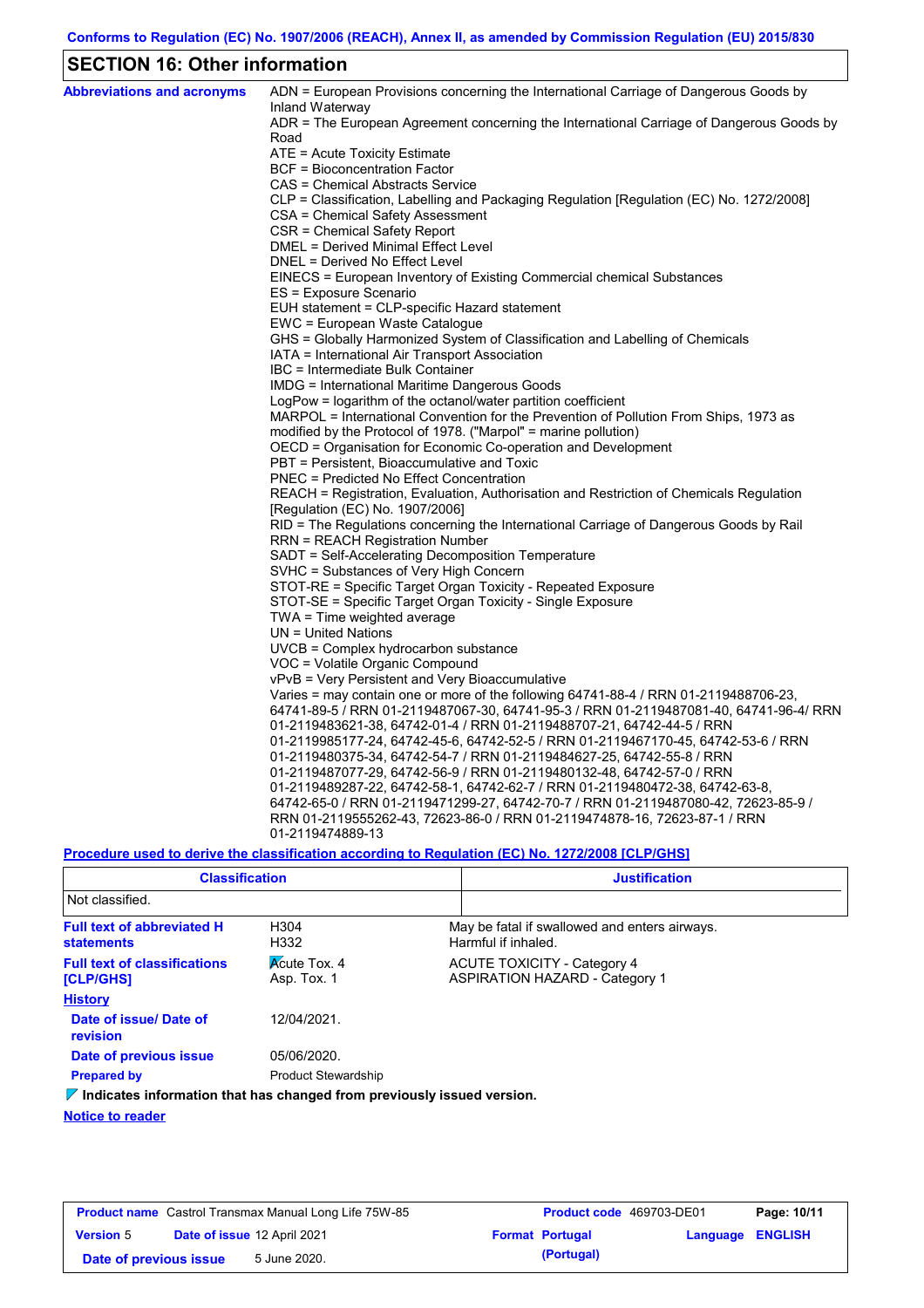# **SECTION 16: Other information**

| <b>Abbreviations and acronyms</b> | ADN = European Provisions concerning the International Carriage of Dangerous Goods by                                                                              |
|-----------------------------------|--------------------------------------------------------------------------------------------------------------------------------------------------------------------|
|                                   | Inland Waterway<br>ADR = The European Agreement concerning the International Carriage of Dangerous Goods by                                                        |
|                                   | Road                                                                                                                                                               |
|                                   | ATE = Acute Toxicity Estimate                                                                                                                                      |
|                                   | BCF = Bioconcentration Factor                                                                                                                                      |
|                                   | CAS = Chemical Abstracts Service                                                                                                                                   |
|                                   | CLP = Classification, Labelling and Packaging Regulation [Regulation (EC) No. 1272/2008]                                                                           |
|                                   | CSA = Chemical Safety Assessment                                                                                                                                   |
|                                   | CSR = Chemical Safety Report                                                                                                                                       |
|                                   | DMEL = Derived Minimal Effect Level                                                                                                                                |
|                                   | DNEL = Derived No Effect Level                                                                                                                                     |
|                                   | EINECS = European Inventory of Existing Commercial chemical Substances                                                                                             |
|                                   | ES = Exposure Scenario                                                                                                                                             |
|                                   | EUH statement = CLP-specific Hazard statement                                                                                                                      |
|                                   | EWC = European Waste Catalogue                                                                                                                                     |
|                                   | GHS = Globally Harmonized System of Classification and Labelling of Chemicals                                                                                      |
|                                   | IATA = International Air Transport Association                                                                                                                     |
|                                   | IBC = Intermediate Bulk Container                                                                                                                                  |
|                                   | IMDG = International Maritime Dangerous Goods                                                                                                                      |
|                                   | LogPow = logarithm of the octanol/water partition coefficient                                                                                                      |
|                                   | MARPOL = International Convention for the Prevention of Pollution From Ships, 1973 as                                                                              |
|                                   | modified by the Protocol of 1978. ("Marpol" = marine pollution)                                                                                                    |
|                                   | OECD = Organisation for Economic Co-operation and Development                                                                                                      |
|                                   | PBT = Persistent, Bioaccumulative and Toxic                                                                                                                        |
|                                   | <b>PNEC = Predicted No Effect Concentration</b>                                                                                                                    |
|                                   | REACH = Registration, Evaluation, Authorisation and Restriction of Chemicals Regulation                                                                            |
|                                   | [Regulation (EC) No. 1907/2006]                                                                                                                                    |
|                                   | RID = The Regulations concerning the International Carriage of Dangerous Goods by Rail                                                                             |
|                                   | RRN = REACH Registration Number                                                                                                                                    |
|                                   | SADT = Self-Accelerating Decomposition Temperature                                                                                                                 |
|                                   | SVHC = Substances of Very High Concern                                                                                                                             |
|                                   | STOT-RE = Specific Target Organ Toxicity - Repeated Exposure                                                                                                       |
|                                   | STOT-SE = Specific Target Organ Toxicity - Single Exposure                                                                                                         |
|                                   | TWA = Time weighted average                                                                                                                                        |
|                                   | $UN = United Nations$                                                                                                                                              |
|                                   | UVCB = Complex hydrocarbon substance                                                                                                                               |
|                                   | VOC = Volatile Organic Compound                                                                                                                                    |
|                                   | vPvB = Very Persistent and Very Bioaccumulative                                                                                                                    |
|                                   | Varies = may contain one or more of the following $64741-88-4$ / RRN 01-2119488706-23,                                                                             |
|                                   | 64741-89-5 / RRN 01-2119487067-30, 64741-95-3 / RRN 01-2119487081-40, 64741-96-4/ RRN                                                                              |
|                                   | 01-2119483621-38, 64742-01-4 / RRN 01-2119488707-21, 64742-44-5 / RRN                                                                                              |
|                                   | 01-2119985177-24, 64742-45-6, 64742-52-5 / RRN 01-2119467170-45, 64742-53-6 / RRN                                                                                  |
|                                   | 01-2119480375-34, 64742-54-7 / RRN 01-2119484627-25, 64742-55-8 / RRN                                                                                              |
|                                   | 01-2119487077-29, 64742-56-9 / RRN 01-2119480132-48, 64742-57-0 / RRN                                                                                              |
|                                   | 01-2119489287-22, 64742-58-1, 64742-62-7 / RRN 01-2119480472-38, 64742-63-8,<br>64742-65-0 / RRN 01-2119471299-27, 64742-70-7 / RRN 01-2119487080-42, 72623-85-9 / |
|                                   | RRN 01-2119555262-43, 72623-86-0 / RRN 01-2119474878-16, 72623-87-1 / RRN                                                                                          |
|                                   | 01-2119474889-13                                                                                                                                                   |
|                                   |                                                                                                                                                                    |

**Procedure used to derive the classification according to Regulation (EC) No. 1272/2008 [CLP/GHS]**

| <b>Classification</b>                                                             |                                    | <b>Justification</b> |                                                                             |  |
|-----------------------------------------------------------------------------------|------------------------------------|----------------------|-----------------------------------------------------------------------------|--|
| Not classified.                                                                   |                                    |                      |                                                                             |  |
| <b>Full text of abbreviated H</b><br><b>statements</b>                            | H <sub>304</sub><br>H332           |                      | May be fatal if swallowed and enters airways.<br>Harmful if inhaled.        |  |
| <b>Full text of classifications</b><br><b>[CLP/GHS]</b>                           | <b>Acute Tox. 4</b><br>Asp. Tox. 1 |                      | <b>ACUTE TOXICITY - Category 4</b><br><b>ASPIRATION HAZARD - Category 1</b> |  |
| <b>History</b>                                                                    |                                    |                      |                                                                             |  |
| Date of issue/ Date of<br>revision                                                | 12/04/2021                         |                      |                                                                             |  |
| Date of previous issue                                                            | 05/06/2020.                        |                      |                                                                             |  |
| <b>Prepared by</b>                                                                | <b>Product Stewardship</b>         |                      |                                                                             |  |
| $\mathbb Z$ Indicatos information that has changed from proviously issued version |                                    |                      |                                                                             |  |

**Indicates information that has changed from previously issued version.**

### **Notice to reader**

| <b>Product name</b> Castrol Transmax Manual Long Life 75W-85 |  | <b>Product code</b> 469703-DE01    |  | Page: 10/11            |                  |  |
|--------------------------------------------------------------|--|------------------------------------|--|------------------------|------------------|--|
| <b>Version 5</b>                                             |  | <b>Date of issue 12 April 2021</b> |  | <b>Format Portugal</b> | Language ENGLISH |  |
| Date of previous issue                                       |  | 5 June 2020.                       |  | (Portugal)             |                  |  |